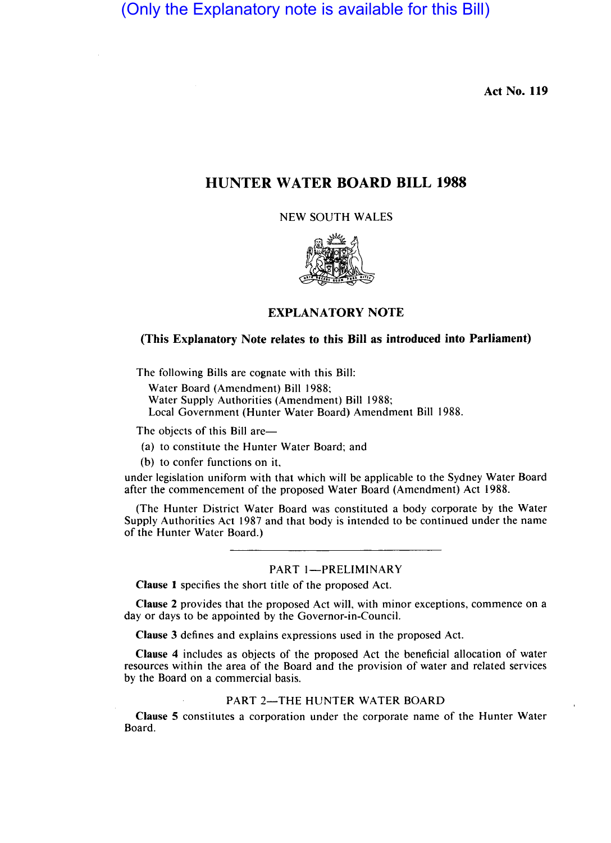(Only the Explanatory note is available for this Bill)

Act No. 119

# HUNTER WATER BOARD BILL 1988

NEW SOUTH WALES



## EXPLANATORY NOTE

## (This Explanatory Note relates to this Bill as introduced into Parliament)

The following Bills are cognate with this Bill:

Water Board (Amendment) Bill 1988;

Water Supply Authorities (Amendment) Bill 1988;

Local Government (Hunter Water Board) Amendment Bill 1988.

The objects of this Bill are-

(a) to constitute the Hunter Water Board; and

(b) to confer functions on it,

under legislation uniform with that which will be applicable to the Sydney Water Board after the commencement of the proposed Water Board (Amendment) Act 1988.

(The Hunter District Water Board was constituted a body corporate by the Water Supply Authorities Act 1987 and that body is intended to be continued under the name of the Hunter Water Board.)

## PART 1-PRELIMINARY

Clause 1 specifies the short title of the proposed Act.

Clause 2 provides that the proposed Act will, with minor exceptions, commence on a day or days to be appointed by the Governor-in-Council.

Clause 3 defines and explains expressions used in the proposed Act.

Clause 4 includes as objects of the proposed Act the beneficial allocation of water resources within the area of the Board and the provision of water and related services by the Board on a commercial basis.

### PART 2-THE HUNTER WATER BOARD

Clause 5 constitutes a corporation under the corporate name of the Hunter Water Board.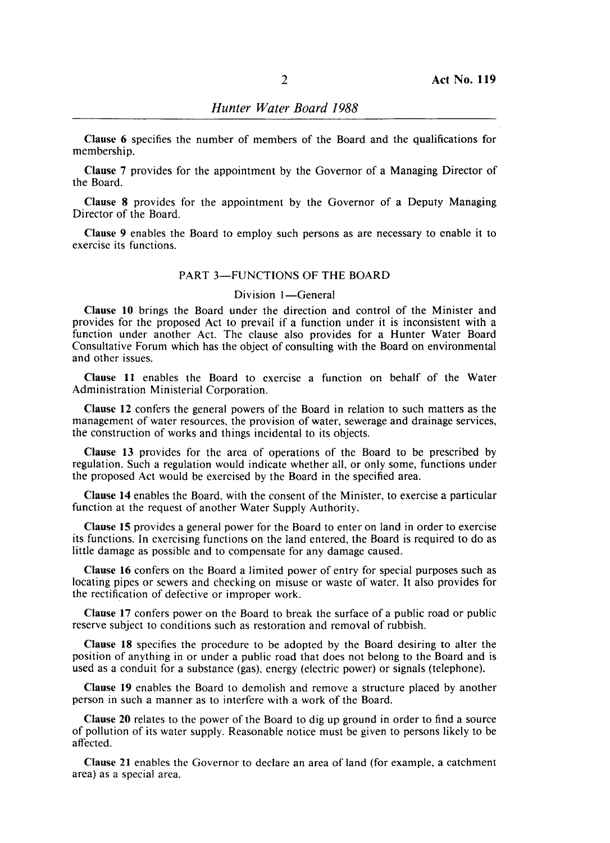Clause 6 specifies the number of members of the Board and the qualifications for membership.

Clause 7 provides for the appointment by the Governor of a Managing Director of the Board.

Clause 8 provides for the appointment by the Governor of a Deputy Managing Director of the Board.

Clause 9 enables the Board to employ such persons as are necessary to enable it to exercise its functions.

### PART 3-FUNCTIONS OF THE BOARD

#### Division 1-General

Clause 10 brings the Board under the direction and control of the Minister and provides for the proposed Act to prevail if a function under it is inconsistent with a function under another Act. The clause also provides for a Hunter Water Board Consultative Forum which has the object of consulting with the Board on environmental and other issues.

Clause 11 enables the Board to exercise a function on behalf of the Water Administration Ministerial Corporation.

Clause 12 confers the general powers of the Board in relation to such matters as the management of water resources, the provision of water, sewerage and drainage services, the construction of works and things incidental to its objects.

Clause 13 provides for the area of operations of the Board to be prescribed by regulation. Such a regulation would indicate whether all, or only some, functions under the proposed Act would be exercised by the Board in the specified area.

Clause 14 enables the Board, with the consent of the Minister, to exercise a particular function at the request of another Water Supply Authority.

Clause 15 provides a general power for the Board to enter on land in order to exercise its functions. In exercising functions on the land entered, the Board is required to do as little damage as possible and to compensate for any damage caused.

Clause 16 confers on the Board a limited power of entry for special purposes such as locating pipes or sewers and checking on misuse or waste of water. It also provides for the rectification of defective or improper work.

Clause 17 confers power on the Board to break the surface of a public road or public reserve subject to conditions such as restoration and removal of rubbish.

Clause 18 specifies the procedure to be adopted by the Board desiring to alter the position of anything in or under a public road that does not belong to the Board and is used as a conduit for a substance (gas), energy (electric power) or signals (telephone).

Clause 19 enables the Board to demolish and remove a structure placed by another person in such a manner as to interfere with a work of the Board.

Clause 20 relates to the power of the Board to dig up ground in order to find a source of pollution of its water supply. Reason ble notice must be given to persons likely to be affected.

Clause 21 enables the Governor to declare an area of land (for example, a catchment area) as a special area.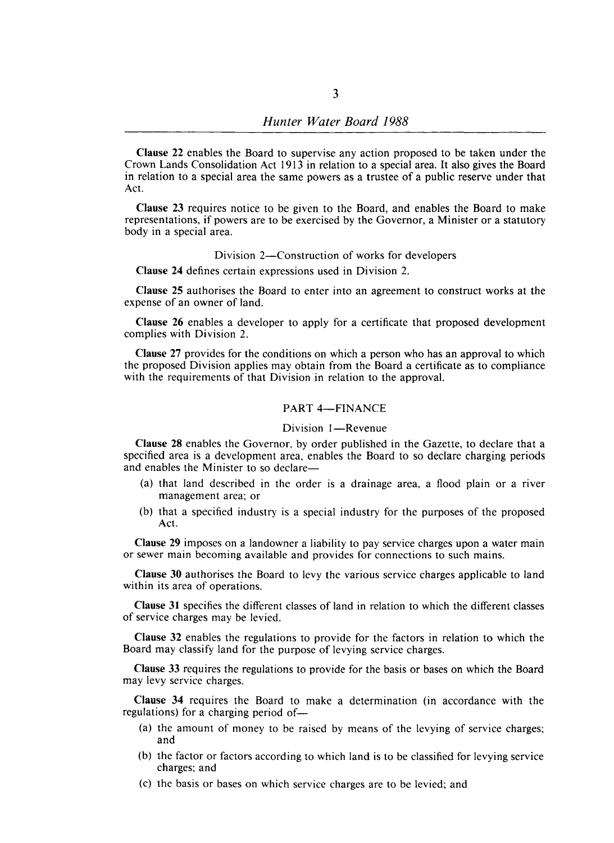Clause 22 enables the Board to supervise any action proposed to be taken under the Crown Lands Consolidation Act 1913 in relation to a special area. It also gives the Board in relation to a special area the same powers as a trustee of a public reserve under that Act.

Clause 23 requires notice to be given to the Board, and enables the Board to make representations, if powers are to be exercised by the Governor, a Minister or a statutory body in a special area.

#### Division 2-Construction of works for developers

Clause 24 defines certain expressions used in Division 2.

Clause 25 authorises the Board to enter into an agreement to construct works at the expense of an owner of land.

Clause 26 enables a developer to apply for a certificate that proposed development complies with Division 2.

Clause 27 provides for the conditions on which a person who has an approval to which the proposed Division applies may obtain from the Board a certificate as to compliance with the requirements of that Division in relation to the approval.

### PART 4-FINANCE

### Division 1-Revenue

Clause 28 enables the Governor, by order published in the Gazette, to declare that a specified area is a development area, enables the Board to so declare charging periods and enables the Minister to so declare-

- (a) that land described in the order is a drainage area, a flood plain or a river management area; or
- (b) that a specified industry is a special industry for the purposes of the proposed Act.

Clause 29 imposes on a landowner a liability to pay service charges upon a water main or sewer main becoming available and provides for connections to such mains.

Clause 30 authorises the Board to levy the various service charges applicable to land within its area of operations.

Clause 31 specifies the different classes of land in relation to which the different classes of service charges may be levied.

Clause 32 enables the regulations to provide for the factors in relation to which the Board may classify land for the purpose of levying service charges.

Clause 33 requires the regulations to provide for the basis or bases on which the Board may levy service charges.

Clause 34 requires the Board to make a determination (in accordance with the regulations) for a charging period of-

- (a) the amount of money to be raised by means of the levying of service charges; and
- (b) the factor or factors according to which land is to be classified for levying service charges; and
- (c) the basis or bases on which service charges are to be levied; and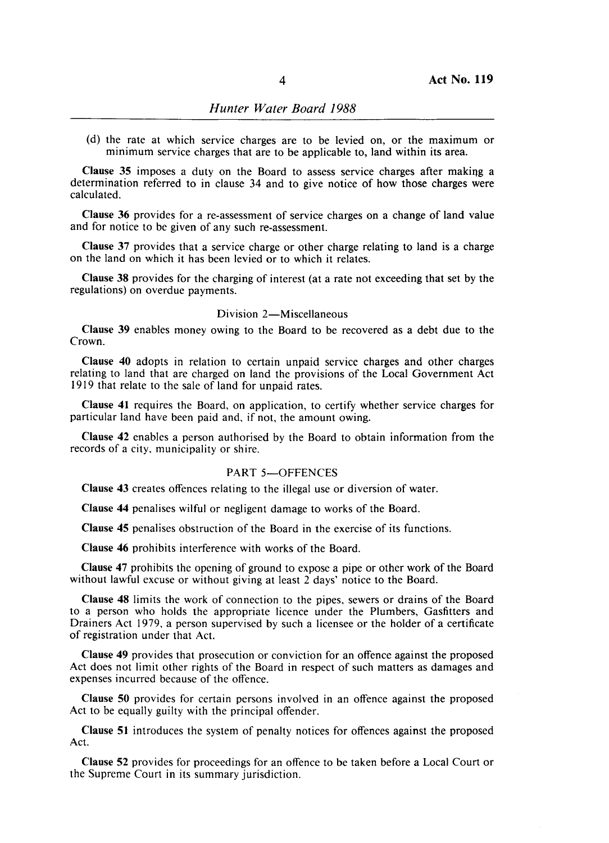(d) the rate at which service charges are to be levied on, or the maximum or minimum service charges that are to be applicable to, land within its area.

Clause 35 imposes a duty on the Board to assess service charges after making a determination referred to in clause 34 and to give notice of how those charges were calculated.

Clause 36 provides for a re-assessment of service charges on a change of land value and for notice to be given of any such re-assessment.

Clause 37 provides that a service charge or other charge relating to land is a charge on the land on which it has been levied or to which it relates.

Clause 38 provides for the charging of interest (at a rate not exceeding that set by the regulations) on overdue payments.

#### Division 2-Miscellaneous

Clause 39 enables money owing to the Board to be recovered as a debt due to the Crown.

Clause 40 adopts in relation to certain unpaid service charges and other charges relating to land that are charged on land the provisions of the Local Government Act 1919 that relate to the sale of land for unpaid rates.

Clause 41 requires the Board, on application, to certify whether service charges for particular land have been paid and, if not, the amount owing.

Clause 42 enables a person authorised by the Board to obtain information from the records of a city, municipality or shire.

#### PART 5-OFFENCES

Clause 43 creates offences relating to the illegal use or diversion of water.

Clause 44 penalises wilful or negligent damage to works of the Board.

Clause 45 penalises obstruction of the Board in the exercise of its functions.

Clause 46 prohibits interference with works of the Board.

Clause 47 prohibits the opening of ground to expose a pipe or other work of the Board without lawful excuse or without giving at least 2 days' notice to the Board.

Clause 48 limits the work of connection to the pipes, sewers or drains of the Board to a person who holds the appropriate licence under the Plumbers, Gasfitters and Drainers Act 1979, a person supervised by such a licensee or the holder of a certificate of registration under that Act.

Clause 49 provides that prosecution or conviction for an offence against the proposed Act does not limit other rights of the Bard in respect of such matters as damages and expenses incurred because of the offence.

Clause 50 provides for certain persons involved in an offence against the proposed Act to be equally guilty with the principal offender.

Clause 51 introduces the system of penalty notices for offences against the proposed Act.

Clause 52 provides for proceedings for an offence to be taken before a Local Court or the Supreme Court in its summary jurisdiction.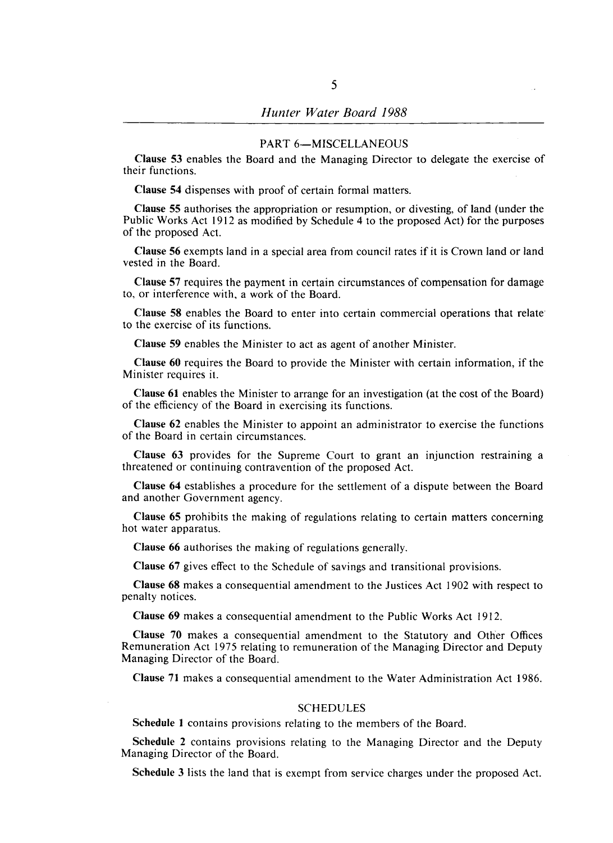#### PART 6-MISCELLANEOUS

Clause 53 enables the Board and the Managing Director to delegate the exercise of their functions.

Clause 54 dispenses with proof of certain formal matters.

Clause 55 authorises the appropriation or resumption, or divesting, of land (under the Public Works Act 1912 as modified by Schedule 4 to the proposed Act) for the purposes of the proposed Act.

Clause 56 exempts land in a special area from council rates if it is Crown land or land vested in the Board.

Clause 57 requires the payment in certain circumstances of compensation for damage to, or interference with, a work of the Board.

Clause 58 enables the Board to enter into certain commercial operations that relate to the exercise of its functions.

Clause 59 enables the Minister to act as agent of another Minister.

Clause 60 requires the Board to provide the Minister with certain information, if the Minister requires it.

Clause 61 enables the Minister to arrange for an investigation (at the cost of the Board) of the efficiency of the Board in exercising its functions.

Clause 62 enables the Minister to appoint an administrator to exercise the functions of the Board in certain circumstances.

Clause 63 provides for the Supreme Court to grant an injunction restraining a threatened or continuing contravention of the proposed Act.

Clause 64 establishes a procedure for the settlement of a dispute between the Board and another Government agency.

Clause 65 prohibits the making of regulations relating to certain matters concerning hot water apparatus.

Clause 66 authorises the making of regulations generally.

Clause 67 gives effect to the Schedule of savings and transitional provisions.

Clause 68 makes a consequential amendment to the Justices Act 1902 with respect to penalty notices.

Clause 69 makes a consequential amendment to the Public Works Act 1912.

Clause 70 makes a consequential amendment to the Statutory and Other Offices Remuneration Act 1975 relating to remuneration of the Managing Director and Deputy Managing Director of the Board.

Clause 71 makes a consequential amendment to the Water Administration Act 1986.

## SCHEDULES

Schedule 1 contains provisions relating to the members of the Board.

Schedule 2 contains provisions relating to the Managing Director and the Deputy Managing Director of the Board.

Schedule 3 lists the land that is exempt from service charges under the proposed Act.